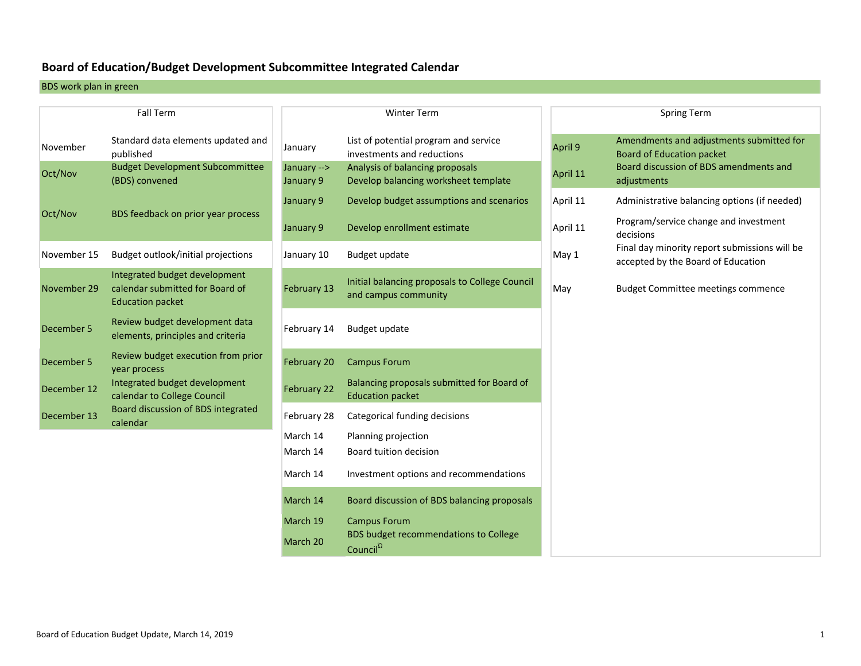### **Board of Education/Budget Development Subcommittee Integrated Calendar**

BDS work plan in green

|             | <b>Fall Term</b>                                                                            |                          | <b>Winter Term</b>                                                      |          | <b>Spring Term</b>                                                                  |
|-------------|---------------------------------------------------------------------------------------------|--------------------------|-------------------------------------------------------------------------|----------|-------------------------------------------------------------------------------------|
| November    | Standard data elements updated and<br>published                                             | January                  | List of potential program and service<br>investments and reductions     | April 9  | Amendments and adjustments submitted for<br><b>Board of Education packet</b>        |
| Oct/Nov     | <b>Budget Development Subcommittee</b><br>(BDS) convened                                    | January --><br>January 9 | Analysis of balancing proposals<br>Develop balancing worksheet template | April 11 | Board discussion of BDS amendments and<br>adjustments                               |
|             |                                                                                             | January 9                | Develop budget assumptions and scenarios                                | April 11 | Administrative balancing options (if needed)                                        |
| Oct/Nov     | BDS feedback on prior year process                                                          | January 9                | Develop enrollment estimate                                             | April 11 | Program/service change and investment<br>decisions                                  |
| November 15 | Budget outlook/initial projections                                                          | January 10               | Budget update                                                           | May 1    | Final day minority report submissions will be<br>accepted by the Board of Education |
| November 29 | Integrated budget development<br>calendar submitted for Board of<br><b>Education packet</b> | February 13              | Initial balancing proposals to College Council<br>and campus community  | May      | <b>Budget Committee meetings commence</b>                                           |
| December 5  | Review budget development data<br>elements, principles and criteria                         | February 14              | Budget update                                                           |          |                                                                                     |
| December 5  | Review budget execution from prior<br>year process                                          | February 20              | <b>Campus Forum</b>                                                     |          |                                                                                     |
| December 12 | Integrated budget development<br>calendar to College Council                                | February 22              | Balancing proposals submitted for Board of<br><b>Education packet</b>   |          |                                                                                     |
| December 13 | Board discussion of BDS integrated<br>calendar                                              | February 28              | Categorical funding decisions                                           |          |                                                                                     |
|             |                                                                                             | March 14<br>March 14     | Planning projection<br>Board tuition decision                           |          |                                                                                     |
|             |                                                                                             | March 14                 | Investment options and recommendations                                  |          |                                                                                     |
|             |                                                                                             | March 14                 | Board discussion of BDS balancing proposals                             |          |                                                                                     |
|             |                                                                                             | March 19                 | <b>Campus Forum</b>                                                     |          |                                                                                     |
|             |                                                                                             | March 20                 | BDS budget recommendations to College                                   |          |                                                                                     |

Council<sup>Ώ</sup>

| <b>Spring Term</b> |                                                                                     |  |  |  |
|--------------------|-------------------------------------------------------------------------------------|--|--|--|
|                    |                                                                                     |  |  |  |
| pril 9             | Amendments and adjustments submitted for<br><b>Board of Education packet</b>        |  |  |  |
| pril 11            | Board discussion of BDS amendments and<br>adjustments                               |  |  |  |
| pril 11            | Administrative balancing options (if needed)                                        |  |  |  |
| pril 11            | Program/service change and investment<br>decisions                                  |  |  |  |
| lay 1              | Final day minority report submissions will be<br>accepted by the Board of Education |  |  |  |
| lay                | <b>Budget Committee meetings commence</b>                                           |  |  |  |
|                    |                                                                                     |  |  |  |
|                    |                                                                                     |  |  |  |
|                    |                                                                                     |  |  |  |
|                    |                                                                                     |  |  |  |
|                    |                                                                                     |  |  |  |
|                    |                                                                                     |  |  |  |
|                    |                                                                                     |  |  |  |
|                    |                                                                                     |  |  |  |
|                    |                                                                                     |  |  |  |
|                    |                                                                                     |  |  |  |
|                    |                                                                                     |  |  |  |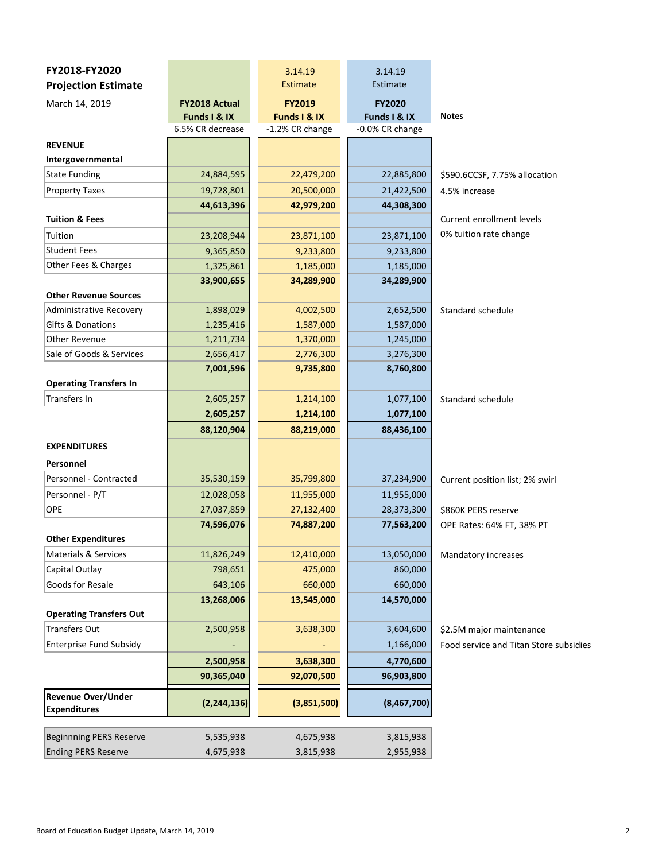| FY2018-FY2020<br><b>Projection Estimate</b>      |                                      | 3.14.19<br><b>Estimate</b>    | 3.14.19<br>Estimate           |                                        |
|--------------------------------------------------|--------------------------------------|-------------------------------|-------------------------------|----------------------------------------|
| March 14, 2019                                   | <b>FY2018 Actual</b><br>Funds I & IX | <b>FY2019</b><br>Funds I & IX | <b>FY2020</b><br>Funds I & IX | <b>Notes</b>                           |
|                                                  | 6.5% CR decrease                     | -1.2% CR change               | -0.0% CR change               |                                        |
| <b>REVENUE</b>                                   |                                      |                               |                               |                                        |
| Intergovernmental                                |                                      |                               |                               |                                        |
| <b>State Funding</b>                             | 24,884,595                           | 22,479,200                    | 22,885,800                    | \$590.6CCSF, 7.75% allocation          |
| <b>Property Taxes</b>                            | 19,728,801                           | 20,500,000                    | 21,422,500                    | 4.5% increase                          |
|                                                  | 44,613,396                           | 42,979,200                    | 44,308,300                    |                                        |
| <b>Tuition &amp; Fees</b>                        |                                      |                               |                               | <b>Current enrollment levels</b>       |
| Tuition                                          | 23,208,944                           | 23,871,100                    | 23,871,100                    | 0% tuition rate change                 |
| <b>Student Fees</b>                              | 9,365,850                            | 9,233,800                     | 9,233,800                     |                                        |
| Other Fees & Charges                             | 1,325,861                            | 1,185,000                     | 1,185,000                     |                                        |
| <b>Other Revenue Sources</b>                     | 33,900,655                           | 34,289,900                    | 34,289,900                    |                                        |
| <b>Administrative Recovery</b>                   | 1,898,029                            | 4,002,500                     | 2,652,500                     | Standard schedule                      |
| Gifts & Donations                                | 1,235,416                            | 1,587,000                     | 1,587,000                     |                                        |
| <b>Other Revenue</b>                             | 1,211,734                            | 1,370,000                     | 1,245,000                     |                                        |
| Sale of Goods & Services                         | 2,656,417                            | 2,776,300                     | 3,276,300                     |                                        |
|                                                  | 7,001,596                            | 9,735,800                     | 8,760,800                     |                                        |
| <b>Operating Transfers In</b>                    |                                      |                               |                               |                                        |
| Transfers In                                     | 2,605,257                            | 1,214,100                     | 1,077,100                     | Standard schedule                      |
|                                                  | 2,605,257                            | 1,214,100                     | 1,077,100                     |                                        |
|                                                  | 88,120,904                           | 88,219,000                    | 88,436,100                    |                                        |
| <b>EXPENDITURES</b>                              |                                      |                               |                               |                                        |
| Personnel                                        |                                      |                               |                               |                                        |
| Personnel - Contracted                           | 35,530,159                           | 35,799,800                    | 37,234,900                    | Current position list; 2% swirl        |
| Personnel - P/T                                  | 12,028,058                           | 11,955,000                    | 11,955,000                    |                                        |
| OPE                                              | 27,037,859                           | 27,132,400                    | 28,373,300                    | \$860K PERS reserve                    |
|                                                  | 74,596,076                           | 74,887,200                    | 77,563,200                    | OPE Rates: 64% FT, 38% PT              |
| <b>Other Expenditures</b>                        |                                      |                               |                               |                                        |
| <b>Materials &amp; Services</b>                  | 11,826,249                           | 12,410,000                    | 13,050,000                    | Mandatory increases                    |
| Capital Outlay                                   | 798,651                              | 475,000                       | 860,000                       |                                        |
| Goods for Resale                                 | 643,106                              | 660,000                       | 660,000                       |                                        |
| <b>Operating Transfers Out</b>                   | 13,268,006                           | 13,545,000                    | 14,570,000                    |                                        |
| Transfers Out                                    | 2,500,958                            | 3,638,300                     | 3,604,600                     | \$2.5M major maintenance               |
| <b>Enterprise Fund Subsidy</b>                   |                                      |                               | 1,166,000                     | Food service and Titan Store subsidies |
|                                                  | 2,500,958                            | 3,638,300                     | 4,770,600                     |                                        |
|                                                  | 90,365,040                           | 92,070,500                    | 96,903,800                    |                                        |
| <b>Revenue Over/Under</b><br><b>Expenditures</b> | (2, 244, 136)                        | (3,851,500)                   | (8,467,700)                   |                                        |
|                                                  |                                      |                               |                               |                                        |
| <b>Beginnning PERS Reserve</b>                   | 5,535,938                            | 4,675,938                     | 3,815,938                     |                                        |
| <b>Ending PERS Reserve</b>                       | 4,675,938                            | 3,815,938                     | 2,955,938                     |                                        |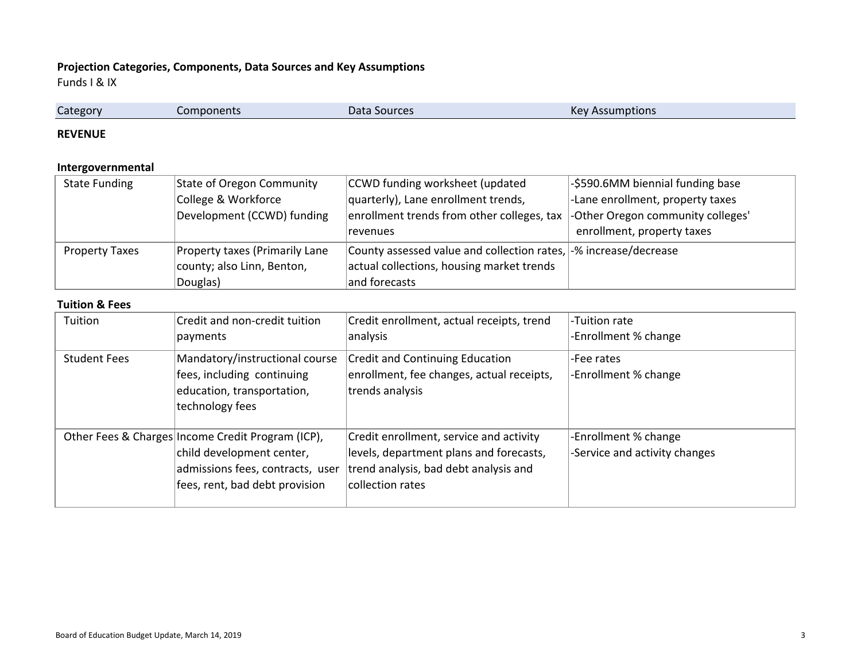# **Projection Categories, Components, Data Sources and Key Assumptions**

Funds I & IX

| $\sim$   |                       |              |                            |  |
|----------|-----------------------|--------------|----------------------------|--|
| Category | mponents <sup>.</sup> | Data Sources | Kev.<br>Assumptions<br>___ |  |
|          |                       |              |                            |  |

#### **REVENUE**

# **Intergovernmental**

| <b>State Funding</b>  | State of Oregon Community      | CCWD funding worksheet (updated                                  | -\$590.6MM biennial funding base  |
|-----------------------|--------------------------------|------------------------------------------------------------------|-----------------------------------|
|                       | College & Workforce            | quarterly), Lane enrollment trends,                              | -Lane enrollment, property taxes  |
|                       | Development (CCWD) funding     | enrollment trends from other colleges, tax                       | -Other Oregon community colleges' |
|                       |                                | revenues                                                         | enrollment, property taxes        |
| <b>Property Taxes</b> | Property taxes (Primarily Lane | County assessed value and collection rates, -% increase/decrease |                                   |
|                       | county; also Linn, Benton,     | actual collections, housing market trends                        |                                   |
|                       | Douglas)                       | and forecasts                                                    |                                   |

#### **Tuition & Fees**

| Tuition             | Credit and non-credit tuition<br>payments                                                                                                            | Credit enrollment, actual receipts, trend<br>analysis                                                                                           | -Tuition rate<br>-Enrollment % change                 |
|---------------------|------------------------------------------------------------------------------------------------------------------------------------------------------|-------------------------------------------------------------------------------------------------------------------------------------------------|-------------------------------------------------------|
| <b>Student Fees</b> | Mandatory/instructional course<br>fees, including continuing<br>education, transportation,<br>technology fees                                        | <b>Credit and Continuing Education</b><br>enrollment, fee changes, actual receipts,<br>trends analysis                                          | -Fee rates<br>-Enrollment % change                    |
|                     | Other Fees & Charges Income Credit Program (ICP),<br>child development center,<br>admissions fees, contracts, user<br>fees, rent, bad debt provision | Credit enrollment, service and activity<br>levels, department plans and forecasts,<br>trend analysis, bad debt analysis and<br>collection rates | -Enrollment % change<br>-Service and activity changes |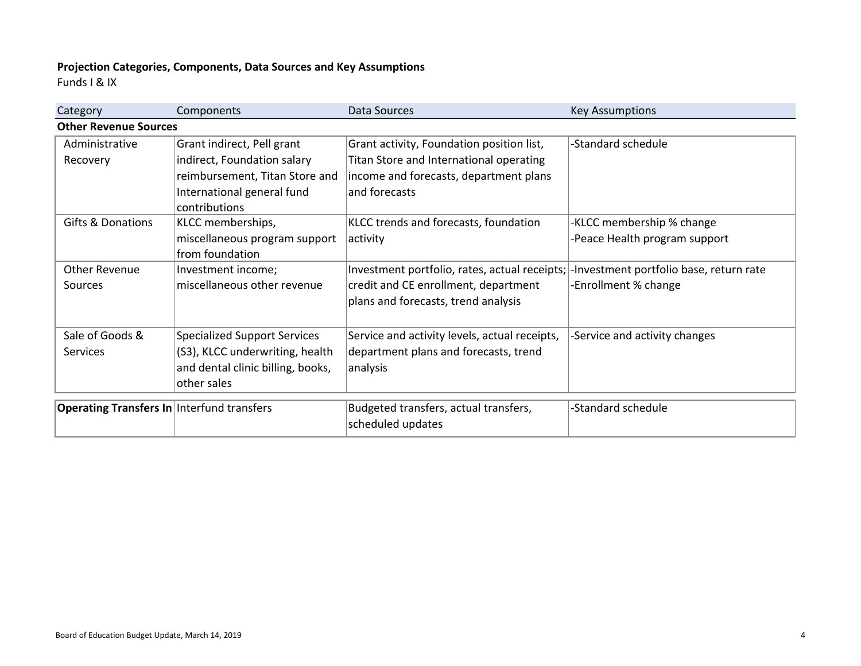# **Projection Categories, Components, Data Sources and Key Assumptions**

Funds I & IX

| Category                                          | Components                                  | Data Sources                                  | <b>Key Assumptions</b>                  |
|---------------------------------------------------|---------------------------------------------|-----------------------------------------------|-----------------------------------------|
| <b>Other Revenue Sources</b>                      |                                             |                                               |                                         |
| Administrative                                    | Grant indirect, Pell grant                  | Grant activity, Foundation position list,     | -Standard schedule                      |
| Recovery                                          | indirect, Foundation salary                 | Titan Store and International operating       |                                         |
|                                                   | reimbursement, Titan Store and              | income and forecasts, department plans        |                                         |
|                                                   | International general fund<br>contributions | and forecasts                                 |                                         |
| <b>Gifts &amp; Donations</b>                      | KLCC memberships,                           | KLCC trends and forecasts, foundation         | -KLCC membership % change               |
|                                                   | miscellaneous program support               | activity                                      | -Peace Health program support           |
|                                                   | from foundation                             |                                               |                                         |
| <b>Other Revenue</b>                              | Investment income;                          | Investment portfolio, rates, actual receipts; | -Investment portfolio base, return rate |
| Sources                                           | miscellaneous other revenue                 | credit and CE enrollment, department          | -Enrollment % change                    |
|                                                   |                                             | plans and forecasts, trend analysis           |                                         |
|                                                   |                                             |                                               |                                         |
| Sale of Goods &                                   | <b>Specialized Support Services</b>         | Service and activity levels, actual receipts, | -Service and activity changes           |
| <b>Services</b>                                   | (S3), KLCC underwriting, health             | department plans and forecasts, trend         |                                         |
|                                                   | and dental clinic billing, books,           | analysis                                      |                                         |
|                                                   | other sales                                 |                                               |                                         |
|                                                   |                                             |                                               |                                         |
| <b>Operating Transfers In Interfund transfers</b> |                                             | Budgeted transfers, actual transfers,         | -Standard schedule                      |
|                                                   |                                             | scheduled updates                             |                                         |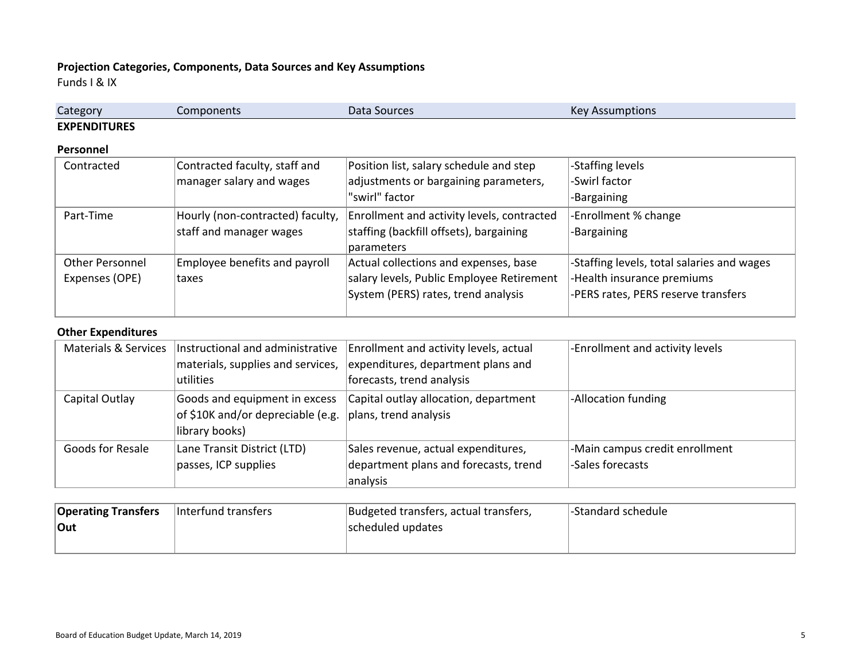# **Projection Categories, Components, Data Sources and Key Assumptions**

Funds I & IX

| Category            | Components | Data Sources | $\mathsf{Var}$<br>nptions<br>סטו |
|---------------------|------------|--------------|----------------------------------|
| <b>EXPENDITURES</b> |            |              |                                  |

#### **Personnel**

| Contracted      | Contracted faculty, staff and    | Position list, salary schedule and step    | -Staffing levels                           |
|-----------------|----------------------------------|--------------------------------------------|--------------------------------------------|
|                 | manager salary and wages         | adjustments or bargaining parameters,      | -Swirl factor                              |
|                 |                                  | "swirl" factor                             | -Bargaining                                |
| Part-Time       | Hourly (non-contracted) faculty, | Enrollment and activity levels, contracted | -Enrollment % change                       |
|                 | staff and manager wages          | staffing (backfill offsets), bargaining    | -Bargaining                                |
|                 |                                  | parameters                                 |                                            |
| Other Personnel | Employee benefits and payroll    | Actual collections and expenses, base      | -Staffing levels, total salaries and wages |
| Expenses (OPE)  | Itaxes                           | salary levels, Public Employee Retirement  | -Health insurance premiums                 |
|                 |                                  | System (PERS) rates, trend analysis        | -PERS rates, PERS reserve transfers        |
|                 |                                  |                                            |                                            |

### **Other Expenditures**

|                  | Materials & Services   Instructional and administrative | Enrollment and activity levels, actual | -Enrollment and activity levels |
|------------------|---------------------------------------------------------|----------------------------------------|---------------------------------|
|                  | materials, supplies and services,                       | expenditures, department plans and     |                                 |
|                  | utilities                                               | forecasts, trend analysis              |                                 |
| Capital Outlay   | Goods and equipment in excess                           | Capital outlay allocation, department  | -Allocation funding             |
|                  | of \$10K and/or depreciable (e.g.                       | plans, trend analysis                  |                                 |
|                  | library books)                                          |                                        |                                 |
| Goods for Resale | Lane Transit District (LTD)                             | Sales revenue, actual expenditures,    | -Main campus credit enrollment  |
|                  | passes, ICP supplies                                    | department plans and forecasts, trend  | -Sales forecasts                |
|                  |                                                         | analysis                               |                                 |

| <b>Operating Transfers</b> | Interfund transfers | Budgeted transfers, actual transfers, | l-Standard schedule |  |
|----------------------------|---------------------|---------------------------------------|---------------------|--|
| Out                        |                     | scheduled updates                     |                     |  |
|                            |                     |                                       |                     |  |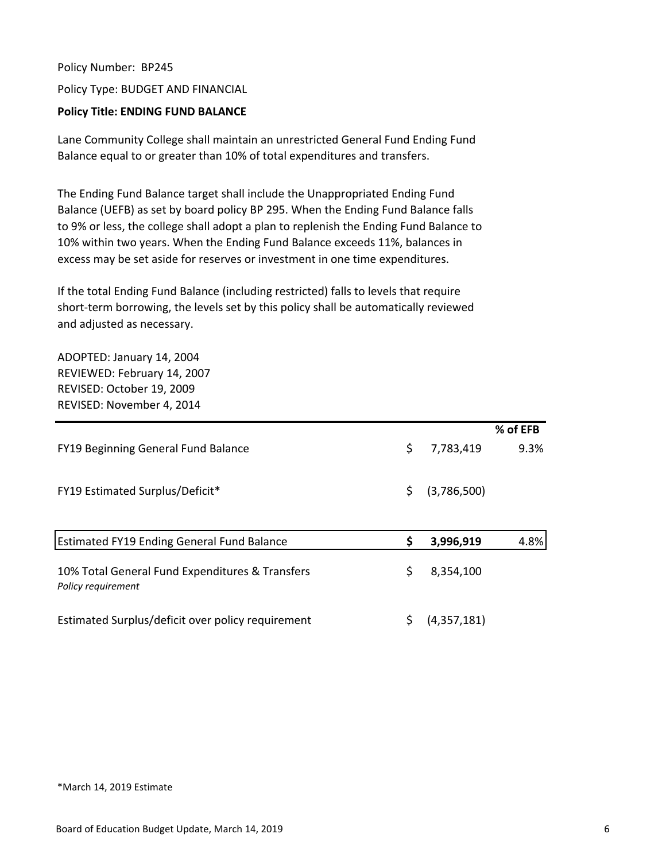Policy Number: BP245 Policy Type: BUDGET AND FINANCIAL

# **Policy Title: ENDING FUND BALANCE**

Lane Community College shall maintain an unrestricted General Fund Ending Fund Balance equal to or greater than 10% of total expenditures and transfers.

The Ending Fund Balance target shall include the Unappropriated Ending Fund Balance (UEFB) as set by board policy BP 295. When the Ending Fund Balance falls to 9% or less, the college shall adopt a plan to replenish the Ending Fund Balance to 10% within two years. When the Ending Fund Balance exceeds 11%, balances in excess may be set aside for reserves or investment in one time expenditures.

If the total Ending Fund Balance (including restricted) falls to levels that require short-term borrowing, the levels set by this policy shall be automatically reviewed and adjusted as necessary.

ADOPTED: January 14, 2004 REVIEWED: February 14, 2007 REVISED: October 19, 2009 REVISED: November 4, 2014

|                                                   |                   | % of EFB |
|---------------------------------------------------|-------------------|----------|
| FY19 Beginning General Fund Balance               | \$<br>7,783,419   | 9.3%     |
|                                                   |                   |          |
| <b>FY19 Estimated Surplus/Deficit*</b>            | \$<br>(3,786,500) |          |
|                                                   |                   |          |
|                                                   |                   |          |
| Estimated FY19 Ending General Fund Balance        | \$<br>3,996,919   | 4.8%     |
|                                                   |                   |          |
| 10% Total General Fund Expenditures & Transfers   | \$<br>8,354,100   |          |
| Policy requirement                                |                   |          |
| Estimated Surplus/deficit over policy requirement | \$<br>(4,357,181) |          |
|                                                   |                   |          |

#### \*March 14, 2019 Estimate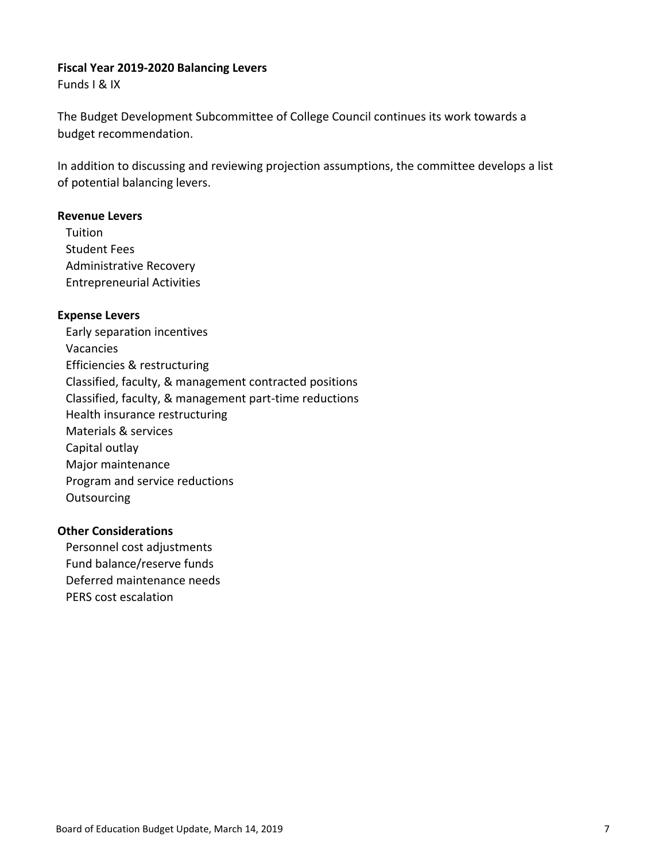# **Fiscal Year 2019‐2020 Balancing Levers**

Funds I & IX

The Budget Development Subcommittee of College Council continues its work towards a budget recommendation.

In addition to discussing and reviewing projection assumptions, the committee develops a list of potential balancing levers.

# **Revenue Levers**

Tuition Student Fees Administrative Recovery Entrepreneurial Activities

# **Expense Levers**

Early separation incentives Vacancies Efficiencies & restructuring Classified, faculty, & management contracted positions Classified, faculty, & management part‐time reductions Health insurance restructuring Materials & services Capital outlay Major maintenance Program and service reductions **Outsourcing** 

# **Other Considerations**

Personnel cost adjustments Fund balance/reserve funds Deferred maintenance needs PERS cost escalation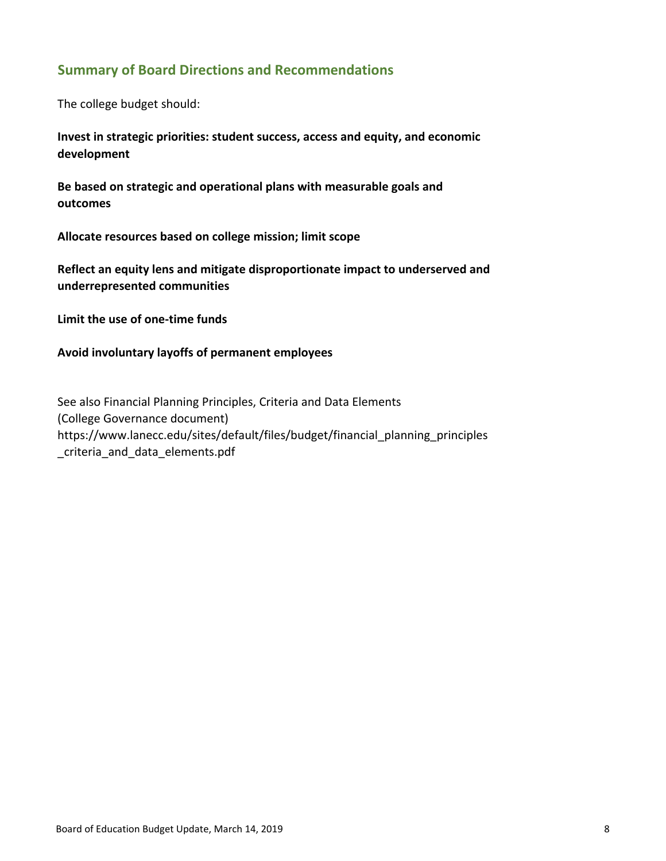# **Summary of Board Directions and Recommendations**

The college budget should:

**Invest in strategic priorities: student success, access and equity, and economic development**

**Be based on strategic and operational plans with measurable goals and outcomes**

**Allocate resources based on college mission; limit scope**

**Reflect an equity lens and mitigate disproportionate impact to underserved and underrepresented communities**

**Limit the use of one‐time funds**

**Avoid involuntary layoffs of permanent employees**

See also Financial Planning Principles, Criteria and Data Elements (College Governance document) https://www.lanecc.edu/sites/default/files/budget/financial\_planning\_principles criteria and data elements.pdf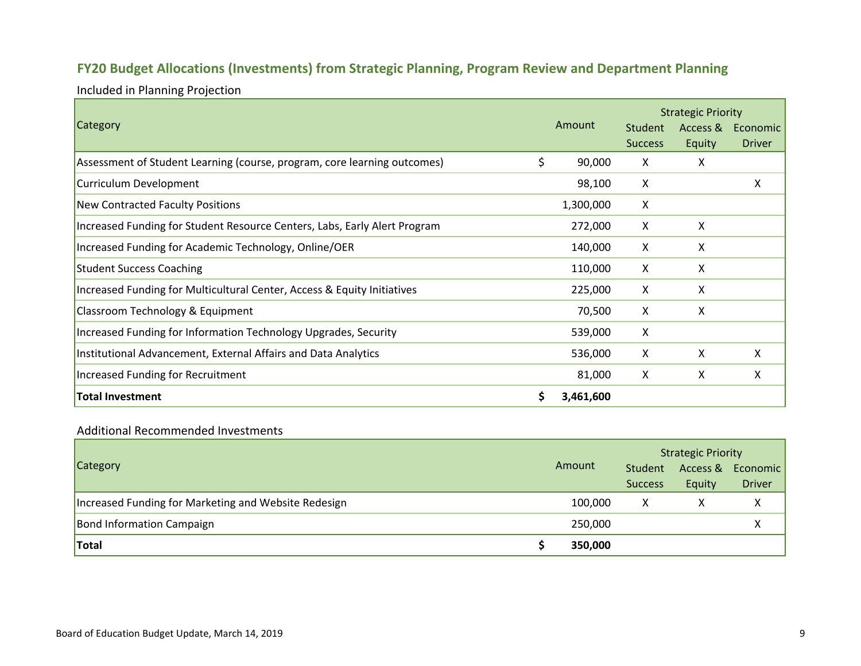# **FY20 Budget Allocations (Investments) from Strategic Planning, Program Review and Department Planning**

Included in Planning Projection

|                                                                           |    |           |                | <b>Strategic Priority</b> |               |
|---------------------------------------------------------------------------|----|-----------|----------------|---------------------------|---------------|
| Category                                                                  |    | Amount    | Student        | Access &                  | Economic      |
|                                                                           |    |           | <b>Success</b> | Equity                    | <b>Driver</b> |
| Assessment of Student Learning (course, program, core learning outcomes)  | \$ | 90,000    | X              | X                         |               |
| Curriculum Development                                                    |    | 98,100    | X              |                           | x             |
| New Contracted Faculty Positions                                          |    | 1,300,000 | X              |                           |               |
| Increased Funding for Student Resource Centers, Labs, Early Alert Program |    | 272,000   | X              | X                         |               |
| Increased Funding for Academic Technology, Online/OER                     |    | 140,000   | X              | X                         |               |
| <b>Student Success Coaching</b>                                           |    | 110,000   | X              | X                         |               |
| Increased Funding for Multicultural Center, Access & Equity Initiatives   |    | 225,000   | X              | X                         |               |
| <b>Classroom Technology &amp; Equipment</b>                               |    | 70,500    | X              | X                         |               |
| Increased Funding for Information Technology Upgrades, Security           |    | 539,000   | Χ              |                           |               |
| Institutional Advancement, External Affairs and Data Analytics            |    | 536,000   | X              | X                         | x             |
| Increased Funding for Recruitment                                         |    | 81,000    | X              | X                         | x             |
| Total Investment                                                          | Ś  | 3,461,600 |                |                           |               |

### Additional Recommended Investments

|                                                      |         | <b>Strategic Priority</b> |        |                   |  |  |  |  |
|------------------------------------------------------|---------|---------------------------|--------|-------------------|--|--|--|--|
| Category                                             | Amount  | Student                   |        | Access & Economic |  |  |  |  |
|                                                      |         | <b>Success</b>            | Equity | <b>Driver</b>     |  |  |  |  |
| Increased Funding for Marketing and Website Redesign | 100.000 | x                         |        | x                 |  |  |  |  |
| <b>Bond Information Campaign</b>                     | 250,000 |                           |        |                   |  |  |  |  |
| Total                                                | 350,000 |                           |        |                   |  |  |  |  |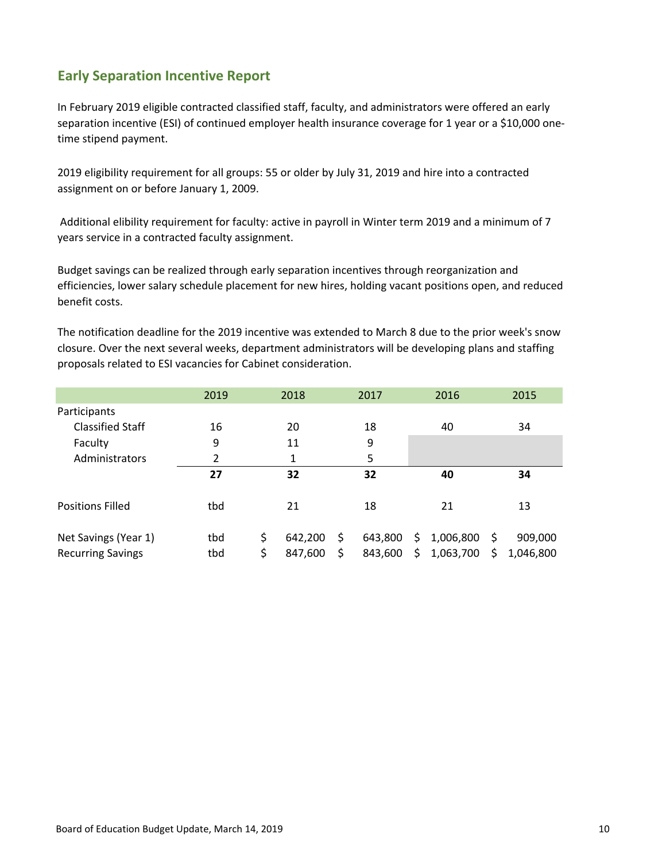# **Early Separation Incentive Report**

In February 2019 eligible contracted classified staff, faculty, and administrators were offered an early separation incentive (ESI) of continued employer health insurance coverage for 1 year or a \$10,000 onetime stipend payment.

2019 eligibility requirement for all groups: 55 or older by July 31, 2019 and hire into a contracted assignment on or before January 1, 2009.

Additional elibility requirement for faculty: active in payroll in Winter term 2019 and a minimum of 7 years service in a contracted faculty assignment.

Budget savings can be realized through early separation incentives through reorganization and efficiencies, lower salary schedule placement for new hires, holding vacant positions open, and reduced benefit costs.

The notification deadline for the 2019 incentive was extended to March 8 due to the prior week's snow closure. Over the next several weeks, department administrators will be developing plans and staffing proposals related to ESI vacancies for Cabinet consideration.

|                          | 2019 | 2018          | 2017          | 2016            |    | 2015      |
|--------------------------|------|---------------|---------------|-----------------|----|-----------|
| Participants             |      |               |               |                 |    |           |
| <b>Classified Staff</b>  | 16   | 20            | 18            | 40              |    | 34        |
| Faculty                  | 9    | 11            | 9             |                 |    |           |
| Administrators           | 2    | 1             | 5             |                 |    |           |
|                          | 27   | 32            | 32            | 40              |    | 34        |
| <b>Positions Filled</b>  | tbd  | 21            | 18            | 21              |    | 13        |
| Net Savings (Year 1)     | tbd  | \$<br>642,200 | \$<br>643,800 | \$<br>1,006,800 | S  | 909,000   |
| <b>Recurring Savings</b> | tbd  | \$<br>847,600 | \$<br>843,600 | \$<br>1,063,700 | S. | 1,046,800 |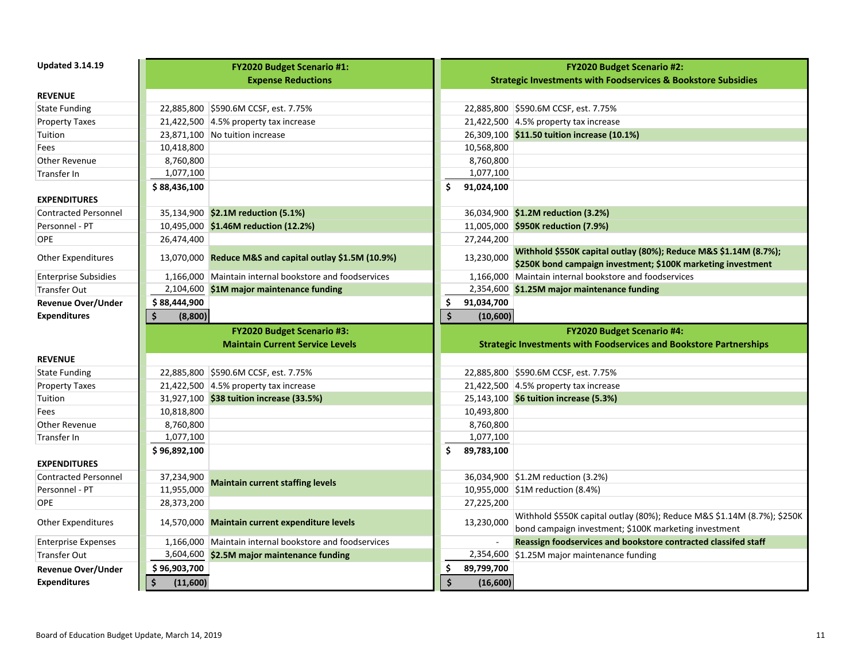| <b>Updated 3.14.19</b>           |                           | <b>FY2020 Budget Scenario #1:</b>                       |                        | <b>FY2020 Budget Scenario #2:</b>                                                                                                |
|----------------------------------|---------------------------|---------------------------------------------------------|------------------------|----------------------------------------------------------------------------------------------------------------------------------|
|                                  |                           | <b>Expense Reductions</b>                               |                        | <b>Strategic Investments with Foodservices &amp; Bookstore Subsidies</b>                                                         |
| <b>REVENUE</b>                   |                           |                                                         |                        |                                                                                                                                  |
| <b>State Funding</b>             |                           | 22,885,800 \$590.6M CCSF, est. 7.75%                    |                        | 22,885,800 \$590.6M CCSF, est. 7.75%                                                                                             |
| <b>Property Taxes</b>            |                           | 21,422,500 $ 4.5\%$ property tax increase               |                        | 21,422,500 $ 4.5\%$ property tax increase                                                                                        |
| Tuition                          |                           | 23,871,100   No tuition increase                        |                        | 26,309,100 \$11.50 tuition increase (10.1%)                                                                                      |
| Fees                             | 10,418,800                |                                                         | 10,568,800             |                                                                                                                                  |
| Other Revenue                    | 8,760,800                 |                                                         | 8,760,800              |                                                                                                                                  |
| <b>Transfer In</b>               | 1,077,100                 |                                                         | 1,077,100              |                                                                                                                                  |
|                                  | \$88,436,100              |                                                         | \$<br>91,024,100       |                                                                                                                                  |
| <b>EXPENDITURES</b>              |                           |                                                         |                        |                                                                                                                                  |
| <b>Contracted Personnel</b>      |                           | 35,134,900 \$2.1M reduction (5.1%)                      |                        | 36,034,900 \$1.2M reduction (3.2%)                                                                                               |
| Personnel - PT                   |                           | 10,495,000 \$1.46M reduction (12.2%)                    |                        | 11,005,000 \$950K reduction (7.9%)                                                                                               |
| OPE                              | 26,474,400                |                                                         | 27,244,200             |                                                                                                                                  |
| Other Expenditures               |                           | 13,070,000 Reduce M&S and capital outlay \$1.5M (10.9%) | 13,230,000             | Withhold \$550K capital outlay (80%); Reduce M&S \$1.14M (8.7%);                                                                 |
|                                  |                           |                                                         |                        | \$250K bond campaign investment; \$100K marketing investment                                                                     |
| <b>Enterprise Subsidies</b>      |                           | 1,166,000 Maintain internal bookstore and foodservices  |                        | 1,166,000 Maintain internal bookstore and foodservices                                                                           |
| <b>Transfer Out</b>              |                           | 2,104,600 \$1M major maintenance funding                |                        | 2,354,600 \$1.25M major maintenance funding                                                                                      |
| <b>Revenue Over/Under</b>        | \$88,444,900              |                                                         | \$<br>91,034,700       |                                                                                                                                  |
| <b>Expenditures</b>              | Ś<br>(8,800)              |                                                         | \$<br>(10, 600)        |                                                                                                                                  |
|                                  |                           |                                                         |                        |                                                                                                                                  |
|                                  |                           | FY2020 Budget Scenario #3:                              |                        | <b>FY2020 Budget Scenario #4:</b>                                                                                                |
|                                  |                           | <b>Maintain Current Service Levels</b>                  |                        |                                                                                                                                  |
| <b>REVENUE</b>                   |                           |                                                         |                        | <b>Strategic Investments with Foodservices and Bookstore Partnerships</b>                                                        |
|                                  |                           |                                                         |                        |                                                                                                                                  |
| <b>State Funding</b>             |                           | 22,885,800 \$590.6M CCSF, est. 7.75%                    |                        | 22,885,800 \$590.6M CCSF, est. 7.75%                                                                                             |
| <b>Property Taxes</b><br>Tuition |                           | 21,422,500 $ 4.5\%$ property tax increase               |                        | 21,422,500 $\vert$ 4.5% property tax increase                                                                                    |
| Fees                             |                           | 31,927,100 \$38 tuition increase (33.5%)                |                        | 25,143,100 \$6 tuition increase (5.3%)                                                                                           |
| Other Revenue                    | 10,818,800                |                                                         | 10,493,800             |                                                                                                                                  |
| Transfer In                      | 8,760,800                 |                                                         | 8,760,800<br>1,077,100 |                                                                                                                                  |
|                                  | 1,077,100<br>\$96,892,100 |                                                         | \$<br>89,783,100       |                                                                                                                                  |
| <b>EXPENDITURES</b>              |                           |                                                         |                        |                                                                                                                                  |
| <b>Contracted Personnel</b>      |                           |                                                         |                        |                                                                                                                                  |
| Personnel - PT                   | 37,234,900<br>11,955,000  | <b>Maintain current staffing levels</b>                 |                        | 36,034,900 \$1.2M reduction (3.2%)                                                                                               |
| <b>OPE</b>                       | 28,373,200                |                                                         | 27,225,200             | 10,955,000 \$1M reduction (8.4%)                                                                                                 |
| <b>Other Expenditures</b>        |                           | 14,570,000 Maintain current expenditure levels          | 13,230,000             | Withhold \$550K capital outlay (80%); Reduce M&S \$1.14M (8.7%); \$250K<br>bond campaign investment; \$100K marketing investment |
| <b>Enterprise Expenses</b>       |                           | 1,166,000 Maintain internal bookstore and foodservices  |                        | Reassign foodservices and bookstore contracted classifed staff                                                                   |
| <b>Transfer Out</b>              |                           | 3,604,600 \$2.5M major maintenance funding              |                        | 2,354,600 \$1.25M major maintenance funding                                                                                      |
| <b>Revenue Over/Under</b>        | \$96,903,700              |                                                         | \$<br>89,799,700       |                                                                                                                                  |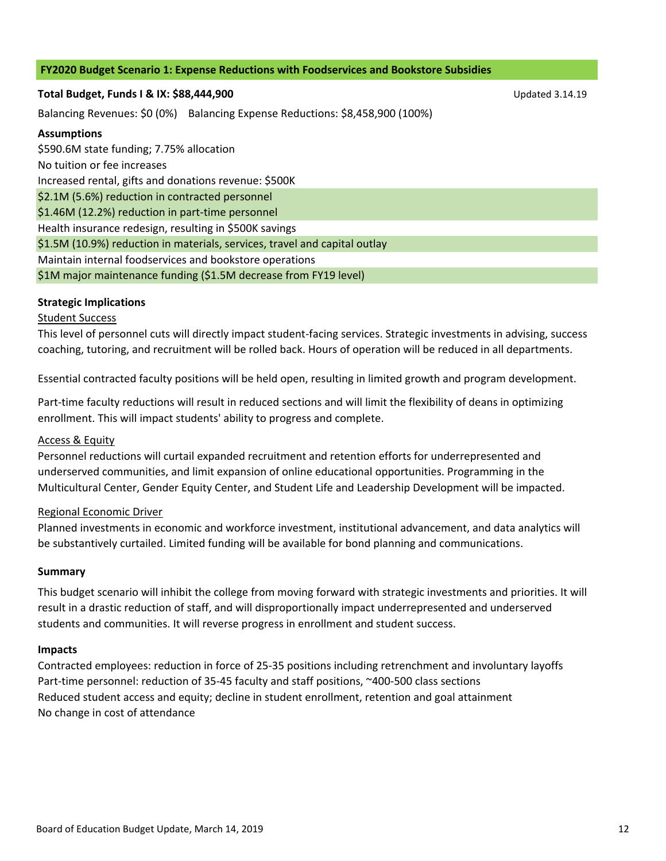### **FY2020 Budget Scenario 1: Expense Reductions with Foodservices and Bookstore Subsidies**

### **Total Budget, Funds I & IX: \$88,444,900** Updated 3.14.19

Balancing Revenues: \$0 (0%) Balancing Expense Reductions: \$8,458,900 (100%)

### **Assumptions**

\$590.6M state funding; 7.75% allocation No tuition or fee increases Increased rental, gifts and donations revenue: \$500K \$2.1M (5.6%) reduction in contracted personnel \$1.46M (12.2%) reduction in part-time personnel Health insurance redesign, resulting in \$500K savings \$1.5M (10.9%) reduction in materials, services, travel and capital outlay Maintain internal foodservices and bookstore operations \$1M major maintenance funding (\$1.5M decrease from FY19 level)

### **Strategic Implications**

### Student Success

This level of personnel cuts will directly impact student‐facing services. Strategic investments in advising, success coaching, tutoring, and recruitment will be rolled back. Hours of operation will be reduced in all departments.

Essential contracted faculty positions will be held open, resulting in limited growth and program development.

Part-time faculty reductions will result in reduced sections and will limit the flexibility of deans in optimizing enrollment. This will impact students' ability to progress and complete.

### Access & Equity

Personnel reductions will curtail expanded recruitment and retention efforts for underrepresented and underserved communities, and limit expansion of online educational opportunities. Programming in the Multicultural Center, Gender Equity Center, and Student Life and Leadership Development will be impacted.

### Regional Economic Driver

Planned investments in economic and workforce investment, institutional advancement, and data analytics will be substantively curtailed. Limited funding will be available for bond planning and communications.

### **Summary**

This budget scenario will inhibit the college from moving forward with strategic investments and priorities. It will result in a drastic reduction of staff, and will disproportionally impact underrepresented and underserved students and communities. It will reverse progress in enrollment and student success.

### **Impacts**

Contracted employees: reduction in force of 25‐35 positions including retrenchment and involuntary layoffs Part-time personnel: reduction of 35-45 faculty and staff positions, ~400-500 class sections Reduced student access and equity; decline in student enrollment, retention and goal attainment No change in cost of attendance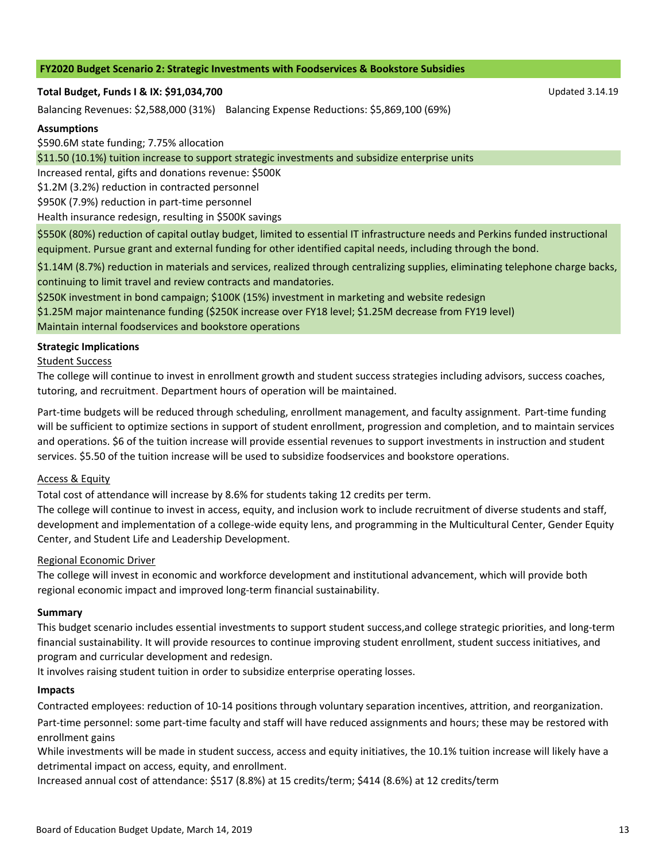#### **FY2020 Budget Scenario 2: Strategic Investments with Foodservices & Bookstore Subsidies**

#### **Total Budget, Funds I & IX: \$91,034,700** Updated 3.14.19

Balancing Revenues: \$2,588,000 (31%) Balancing Expense Reductions: \$5,869,100 (69%)

#### **Assumptions**

\$590.6M state funding; 7.75% allocation

\$11.50 (10.1%) tuition increase to support strategic investments and subsidize enterprise units

Increased rental, gifts and donations revenue: \$500K

\$1.2M (3.2%) reduction in contracted personnel

\$950K (7.9%) reduction in part‐time personnel

Health insurance redesign, resulting in \$500K savings

\$550K (80%) reduction of capital outlay budget, limited to essential IT infrastructure needs and Perkins funded instructional equipment. Pursue grant and external funding for other identified capital needs, including through the bond.

\$1.14M (8.7%) reduction in materials and services, realized through centralizing supplies, eliminating telephone charge backs, continuing to limit travel and review contracts and mandatories.

\$250K investment in bond campaign; \$100K (15%) investment in marketing and website redesign \$1.25M major maintenance funding (\$250K increase over FY18 level; \$1.25M decrease from FY19 level)

Maintain internal foodservices and bookstore operations

#### **Strategic Implications**

Student Success

The college will continue to invest in enrollment growth and student success strategies including advisors, success coaches, tutoring, and recruitment. Department hours of operation will be maintained.

Part-time budgets will be reduced through scheduling, enrollment management, and faculty assignment. Part-time funding will be sufficient to optimize sections in support of student enrollment, progression and completion, and to maintain services and operations. \$6 of the tuition increase will provide essential revenues to support investments in instruction and student services. \$5.50 of the tuition increase will be used to subsidize foodservices and bookstore operations.

### Access & Equity

Total cost of attendance will increase by 8.6% for students taking 12 credits per term.

The college will continue to invest in access, equity, and inclusion work to include recruitment of diverse students and staff, development and implementation of a college‐wide equity lens, and programming in the Multicultural Center, Gender Equity Center, and Student Life and Leadership Development.

#### Regional Economic Driver

The college will invest in economic and workforce development and institutional advancement, which will provide both regional economic impact and improved long‐term financial sustainability.

#### **Summary**

This budget scenario includes essential investments to support student success,and college strategic priorities, and long‐term financial sustainability. It will provide resources to continue improving student enrollment, student success initiatives, and program and curricular development and redesign.

It involves raising student tuition in order to subsidize enterprise operating losses.

#### **Impacts**

Contracted employees: reduction of 10‐14 positions through voluntary separation incentives, attrition, and reorganization.

Part-time personnel: some part-time faculty and staff will have reduced assignments and hours; these may be restored with enrollment gains

While investments will be made in student success, access and equity initiatives, the 10.1% tuition increase will likely have a detrimental impact on access, equity, and enrollment.

Increased annual cost of attendance: \$517 (8.8%) at 15 credits/term; \$414 (8.6%) at 12 credits/term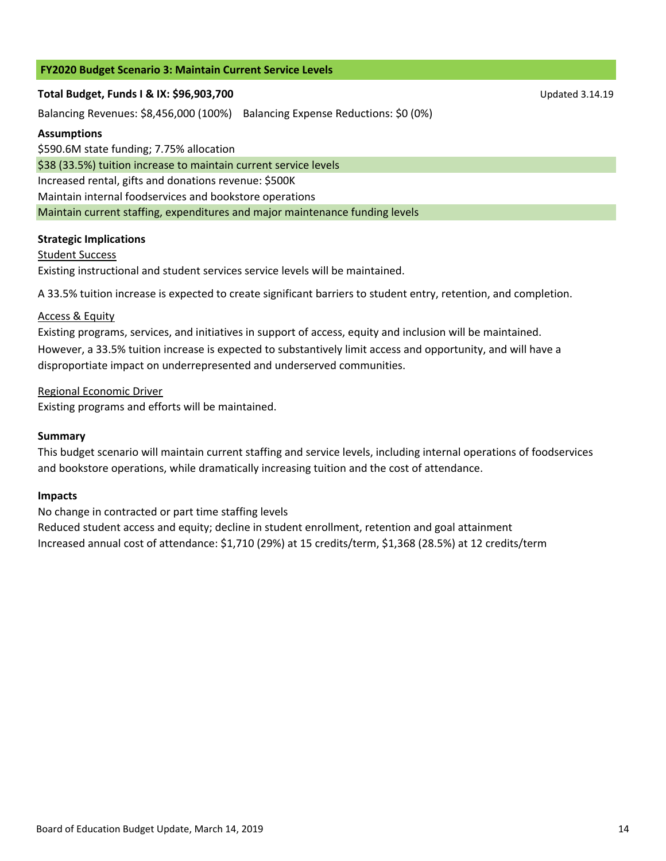# **FY2020 Budget Scenario 3: Maintain Current Service Levels**

### **Total Budget, Funds I & IX: \$96,903,700** Updated 3.14.19

Balancing Revenues: \$8,456,000 (100%) Balancing Expense Reductions: \$0 (0%)

### **Assumptions**

\$590.6M state funding; 7.75% allocation

\$38 (33.5%) tuition increase to maintain current service levels

Increased rental, gifts and donations revenue: \$500K

Maintain internal foodservices and bookstore operations

Maintain current staffing, expenditures and major maintenance funding levels

# **Strategic Implications**

# Student Success

Existing instructional and student services service levels will be maintained.

A 33.5% tuition increase is expected to create significant barriers to student entry, retention, and completion.

# **Access & Equity**

Existing programs, services, and initiatives in support of access, equity and inclusion will be maintained. However, a 33.5% tuition increase is expected to substantively limit access and opportunity, and will have a disproportiate impact on underrepresented and underserved communities.

# Regional Economic Driver

Existing programs and efforts will be maintained.

# **Summary**

This budget scenario will maintain current staffing and service levels, including internal operations of foodservices and bookstore operations, while dramatically increasing tuition and the cost of attendance.

# **Impacts**

No change in contracted or part time staffing levels

Reduced student access and equity; decline in student enrollment, retention and goal attainment Increased annual cost of attendance: \$1,710 (29%) at 15 credits/term, \$1,368 (28.5%) at 12 credits/term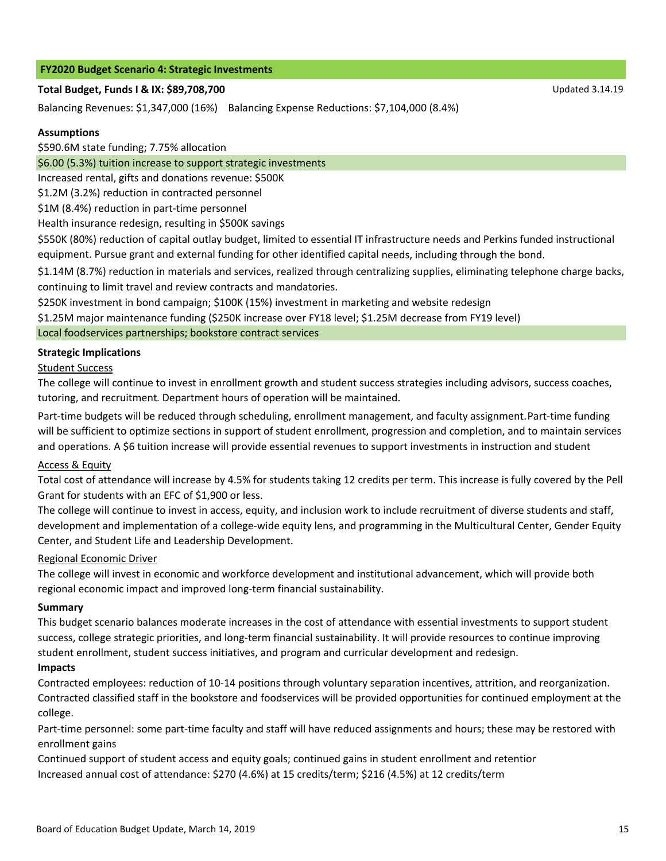### **FY2020 Budget Scenario 4: Strategic Investments**

# **Total Budget, Funds I & IX: \$89,708,700** Updated 3.14.19

Balancing Revenues: \$1,347,000 (16%) Balancing Expense Reductions: \$7,104,000 (8.4%)

# **Assumptions**

\$590.6M state funding; 7.75% allocation

\$6.00 (5.3%) tuition increase to support strategic investments

Increased rental, gifts and donations revenue: \$500K

\$1.2M (3.2%) reduction in contracted personnel

\$1M (8.4%) reduction in part‐time personnel

Health insurance redesign, resulting in \$500K savings

\$550K (80%) reduction of capital outlay budget, limited to essential IT infrastructure needs and Perkins funded instructional equipment. Pursue grant and external funding for other identified capital needs, including through the bond.

\$1.14M (8.7%) reduction in materials and services, realized through centralizing supplies, eliminating telephone charge backs, continuing to limit travel and review contracts and mandatories.

\$250K investment in bond campaign; \$100K (15%) investment in marketing and website redesign

\$1.25M major maintenance funding (\$250K increase over FY18 level; \$1.25M decrease from FY19 level)

# Local foodservices partnerships; bookstore contract services

# **Strategic Implications**

# Student Success

The college will continue to invest in enrollment growth and student success strategies including advisors, success coaches, tutoring, and recruitment. Department hours of operation will be maintained.

Part‐time budgets will be reduced through scheduling, enrollment management, and faculty assignment. Part‐time funding will be sufficient to optimize sections in support of student enrollment, progression and completion, and to maintain services and operations. A \$6 tuition increase will provide essential revenues to support investments in instruction and student

# Access & Equity

Total cost of attendance will increase by 4.5% for students taking 12 credits per term. This increase is fully covered by the Pell Grant for students with an EFC of \$1,900 or less.

The college will continue to invest in access, equity, and inclusion work to include recruitment of diverse students and staff, development and implementation of a college-wide equity lens, and programming in the Multicultural Center, Gender Equity Center, and Student Life and Leadership Development.

# Regional Economic Driver

The college will invest in economic and workforce development and institutional advancement, which will provide both regional economic impact and improved long‐term financial sustainability.

# **Summary**

This budget scenario balances moderate increases in the cost of attendance with essential investments to support student success, college strategic priorities, and long‐term financial sustainability. It will provide resources to continue improving student enrollment, student success initiatives, and program and curricular development and redesign.

# **Impacts**

Contracted employees: reduction of 10‐14 positions through voluntary separation incentives, attrition, and reorganization. Contracted classified staff in the bookstore and foodservices will be provided opportunities for continued employment at the college.

Part-time personnel: some part-time faculty and staff will have reduced assignments and hours; these may be restored with enrollment gains

Increased annual cost of attendance: \$270 (4.6%) at 15 credits/term; \$216 (4.5%) at 12 credits/term Continued support of student access and equity goals; continued gains in student enrollment and retention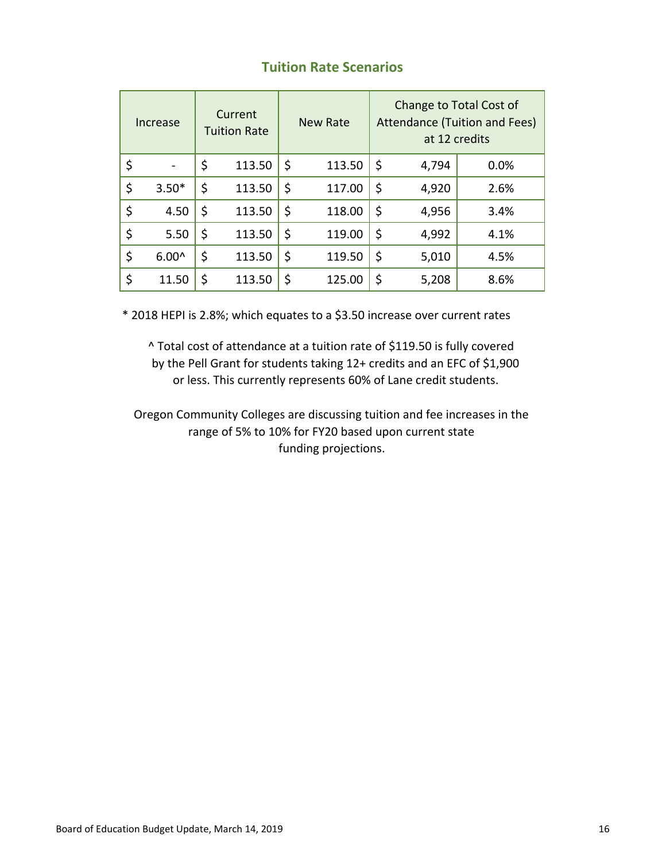# **Tuition Rate Scenarios**

| Increase |         | Current<br><b>Tuition Rate</b> | New Rate     | Change to Total Cost of<br>Attendance (Tuition and Fees)<br>at 12 credits |       |      |  |  |  |  |
|----------|---------|--------------------------------|--------------|---------------------------------------------------------------------------|-------|------|--|--|--|--|
| \$       |         | \$<br>113.50                   | \$<br>113.50 | \$                                                                        | 4,794 | 0.0% |  |  |  |  |
| \$       | $3.50*$ | \$<br>113.50                   | \$<br>117.00 | \$                                                                        | 4,920 | 2.6% |  |  |  |  |
| \$       | 4.50    | \$<br>113.50                   | \$<br>118.00 | \$                                                                        | 4,956 | 3.4% |  |  |  |  |
| \$       | 5.50    | \$<br>113.50                   | \$<br>119.00 | \$                                                                        | 4,992 | 4.1% |  |  |  |  |
| \$       | $6.00^$ | \$<br>113.50                   | \$<br>119.50 | \$                                                                        | 5,010 | 4.5% |  |  |  |  |
| \$       | 11.50   | \$<br>113.50                   | \$<br>125.00 | \$                                                                        | 5,208 | 8.6% |  |  |  |  |

\* 2018 HEPI is 2.8%; which equates to a \$3.50 increase over current rates

^ Total cost of attendance at a tuition rate of \$119.50 is fully covered by the Pell Grant for students taking 12+ credits and an EFC of \$1,900 or less. This currently represents 60% of Lane credit students.

Oregon Community Colleges are discussing tuition and fee increases in the range of 5% to 10% for FY20 based upon current state funding projections.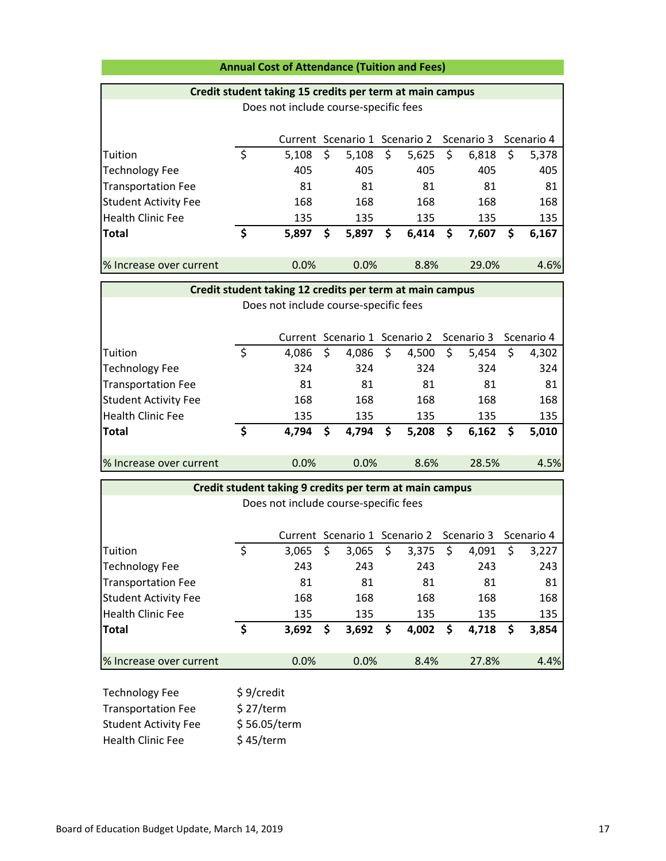### **Annual Cost of Attendance (Tuition and Fees)**

### **Credit student taking 15 credits per term at main campus**

| Does not include course-specific fees |    |                                                     |    |       |    |       |    |       |   |       |
|---------------------------------------|----|-----------------------------------------------------|----|-------|----|-------|----|-------|---|-------|
|                                       |    | Current Scenario 1 Scenario 2 Scenario 3 Scenario 4 |    |       |    |       |    |       |   |       |
| Tuition                               | \$ | 5,108                                               | \$ | 5,108 | \$ | 5,625 | \$ | 6,818 | Ş | 5,378 |
| <b>Technology Fee</b>                 |    | 405                                                 |    | 405   |    | 405   |    | 405   |   | 405   |
| <b>Transportation Fee</b>             |    | 81                                                  |    | 81    |    | 81    |    | 81    |   | 81    |
| <b>Student Activity Fee</b>           |    | 168                                                 |    | 168   |    | 168   |    | 168   |   | 168   |
| Health Clinic Fee                     |    | 135                                                 |    | 135   |    | 135   |    | 135   |   | 135   |
| <b>Total</b>                          | \$ | 5,897                                               | S  | 5,897 | \$ | 6,414 | \$ | 7,607 | Ş | 6,167 |
| % Increase over current               |    | 0.0%                                                |    | 0.0%  |    | 8.8%  |    | 29.0% |   | 4.6%  |

# Current Scenario 1 Scenario 2 Scenario 3 Scenario 4 Tuition 4,086 \$ \$ 4,086 \$ 4,500 \$ 5,454 \$ 4,302 Technology Fee 324 324 324 324 324 Transportation Fee 21 81 81 81 81 81 Student Activity Fee 168 168 168 168 168 Health Clinic Fee 135 135 135 135 135 **Total 4,794 \$ \$ 4,794 \$ 5,208 \$ 6,162 \$ 5,010** % Increase over current 0.0% 0.0% 8.6% 28.5% 4.5% **Credit student taking 12 credits per term at main campus** Does not include course‐specific fees

| Credit student taking 9 credits per term at main campus |    |                                                     |    |       |    |       |    |       |    |       |  |
|---------------------------------------------------------|----|-----------------------------------------------------|----|-------|----|-------|----|-------|----|-------|--|
| Does not include course-specific fees                   |    |                                                     |    |       |    |       |    |       |    |       |  |
|                                                         |    |                                                     |    |       |    |       |    |       |    |       |  |
|                                                         |    | Current Scenario 1 Scenario 2 Scenario 3 Scenario 4 |    |       |    |       |    |       |    |       |  |
| Tuition                                                 | \$ | 3.065                                               | \$ | 3,065 | \$ | 3,375 | \$ | 4,091 | \$ | 3,227 |  |
| <b>Technology Fee</b>                                   |    | 243                                                 |    | 243   |    | 243   |    | 243   |    | 243   |  |
| <b>Transportation Fee</b>                               |    | 81                                                  |    | 81    |    | 81    |    | 81    |    | 81    |  |
| <b>Student Activity Fee</b>                             |    | 168                                                 |    | 168   |    | 168   |    | 168   |    | 168   |  |
| Health Clinic Fee                                       |    | 135                                                 |    | 135   |    | 135   |    | 135   |    | 135   |  |
| <b>Total</b>                                            | \$ | 3,692                                               | \$ | 3,692 | \$ | 4,002 | \$ | 4,718 | \$ | 3,854 |  |
|                                                         |    |                                                     |    |       |    |       |    |       |    |       |  |
| % Increase over current                                 |    | 0.0%                                                |    | 0.0%  |    | 8.4%  |    | 27.8% |    | 4.4%  |  |
|                                                         |    |                                                     |    |       |    |       |    |       |    |       |  |

| <b>Technology Fee</b>       | \$9/credit   |
|-----------------------------|--------------|
| <b>Transportation Fee</b>   | \$27/term    |
| <b>Student Activity Fee</b> | \$56.05/term |
| <b>Health Clinic Fee</b>    | \$45/term    |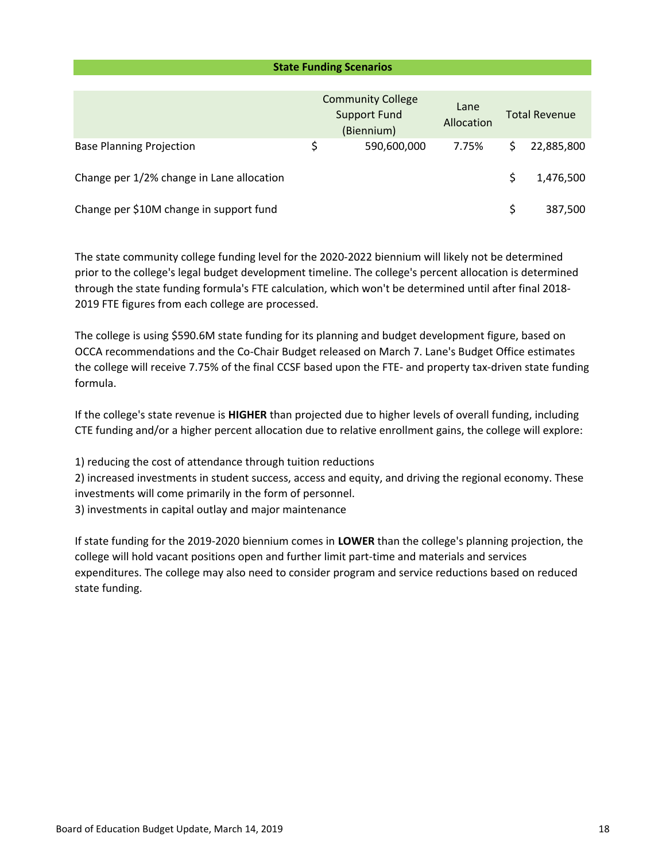|                                           | <b>State Funding Scenarios</b>                                |                    |                      |            |  |
|-------------------------------------------|---------------------------------------------------------------|--------------------|----------------------|------------|--|
|                                           |                                                               |                    |                      |            |  |
|                                           | <b>Community College</b><br><b>Support Fund</b><br>(Biennium) | Lane<br>Allocation | <b>Total Revenue</b> |            |  |
| <b>Base Planning Projection</b>           | \$<br>590,600,000                                             | 7.75%              | \$                   | 22,885,800 |  |
| Change per 1/2% change in Lane allocation |                                                               |                    | \$                   | 1,476,500  |  |
| Change per \$10M change in support fund   |                                                               |                    | \$                   | 387,500    |  |

The state community college funding level for the 2020‐2022 biennium will likely not be determined prior to the college's legal budget development timeline. The college's percent allocation is determined through the state funding formula's FTE calculation, which won't be determined until after final 2018‐ 2019 FTE figures from each college are processed.

The college is using \$590.6M state funding for its planning and budget development figure, based on OCCA recommendations and the Co‐Chair Budget released on March 7. Lane's Budget Office estimates the college will receive 7.75% of the final CCSF based upon the FTE‐ and property tax‐driven state funding formula.

If the college's state revenue is **HIGHER** than projected due to higher levels of overall funding, including CTE funding and/or a higher percent allocation due to relative enrollment gains, the college will explore:

1) reducing the cost of attendance through tuition reductions

2) increased investments in student success, access and equity, and driving the regional economy. These investments will come primarily in the form of personnel.

3) investments in capital outlay and major maintenance

If state funding for the 2019‐2020 biennium comes in **LOWER** than the college's planning projection, the college will hold vacant positions open and further limit part‐time and materials and services expenditures. The college may also need to consider program and service reductions based on reduced state funding.